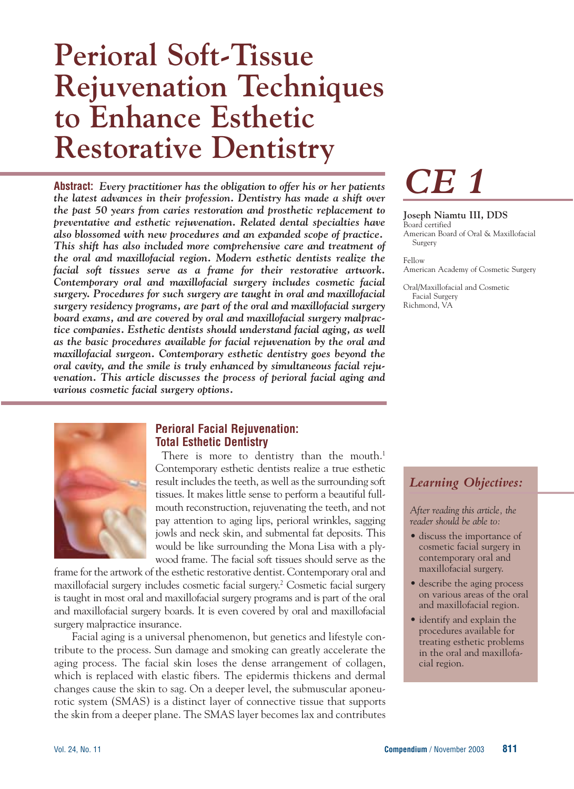## **Perioral Soft-Tissue Rejuvenation Techniques to Enhance Esthetic Restorative Dentistry**

**Abstract:** *Every practitioner has the obligation to offer his or her patients the latest advances in their profession. Dentistry has made a shift over the past 50 years from caries restoration and prosthetic replacement to preventative and esthetic rejuvenation. Related dental specialties have also blossomed with new procedures and an expanded scope of practice. This shift has also included more comprehensive care and treatment of the oral and maxillofacial region. Modern esthetic dentists realize the facial soft tissues serve as a frame for their restorative artwork. Contemporary oral and maxillofacial surgery includes cosmetic facial surgery. Procedures for such surgery are taught in oral and maxillofacial surgery residency programs, are part of the oral and maxillofacial surgery board exams, and are covered by oral and maxillofacial surgery malpractice companies. Esthetic dentists should understand facial aging, as well as the basic procedures available for facial rejuvenation by the oral and maxillofacial surgeon. Contemporary esthetic dentistry goes beyond the oral cavity, and the smile is truly enhanced by simultaneous facial rejuvenation. This article discusses the process of perioral facial aging and various cosmetic facial surgery options.*



#### **Perioral Facial Rejuvenation: Total Esthetic Dentistry**

There is more to dentistry than the mouth.<sup>1</sup> Contemporary esthetic dentists realize a true esthetic result includes the teeth, as well as the surrounding soft tissues. It makes little sense to perform a beautiful fullmouth reconstruction, rejuvenating the teeth, and not pay attention to aging lips, perioral wrinkles, sagging jowls and neck skin, and submental fat deposits. This would be like surrounding the Mona Lisa with a plywood frame. The facial soft tissues should serve as the

frame for the artwork of the esthetic restorative dentist. Contemporary oral and maxillofacial surgery includes cosmetic facial surgery.<sup>2</sup> Cosmetic facial surgery is taught in most oral and maxillofacial surgery programs and is part of the oral and maxillofacial surgery boards. It is even covered by oral and maxillofacial surgery malpractice insurance.

Facial aging is a universal phenomenon, but genetics and lifestyle contribute to the process. Sun damage and smoking can greatly accelerate the aging process. The facial skin loses the dense arrangement of collagen, which is replaced with elastic fibers. The epidermis thickens and dermal changes cause the skin to sag. On a deeper level, the submuscular aponeurotic system (SMAS) is a distinct layer of connective tissue that supports the skin from a deeper plane. The SMAS layer becomes lax and contributes



#### **Joseph Niamtu III, DDS**

Board certified American Board of Oral & Maxillofacial Surgery

Fellow American Academy of Cosmetic Surgery

Oral/Maxillofacial and Cosmetic Facial Surgery Richmond, VA

### *Learning Objectives:*

*After reading this article, the reader should be able to:*

- discuss the importance of cosmetic facial surgery in contemporary oral and maxillofacial surgery.
- describe the aging process on various areas of the oral and maxillofacial region.
- identify and explain the procedures available for treating esthetic problems in the oral and maxillofacial region.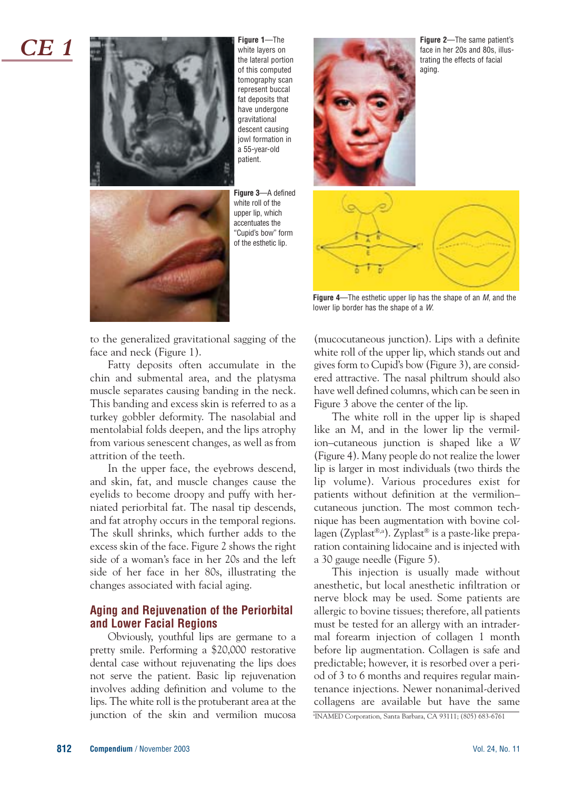*CE 1*



**Figure 1**—The white layers on the lateral portion of this computed tomography scan represent buccal fat deposits that have undergone gravitational descent causing jowl formation in a 55-year-old patient.

**Figure 3**—A defined white roll of the upper lip, which accentuates the "Cupid's bow" form of the esthetic lip.



**Figure 2**—The same patient's face in her 20s and 80s, illustrating the effects of facial aging.



**Figure 4**—The esthetic upper lip has the shape of an M, and the lower lip border has the shape of a W.

to the generalized gravitational sagging of the face and neck (Figure 1).

Fatty deposits often accumulate in the chin and submental area, and the platysma muscle separates causing banding in the neck. This banding and excess skin is referred to as a turkey gobbler deformity. The nasolabial and mentolabial folds deepen, and the lips atrophy from various senescent changes, as well as from attrition of the teeth.

In the upper face, the eyebrows descend, and skin, fat, and muscle changes cause the eyelids to become droopy and puffy with herniated periorbital fat. The nasal tip descends, and fat atrophy occurs in the temporal regions. The skull shrinks, which further adds to the excess skin of the face. Figure 2 shows the right side of a woman's face in her 20s and the left side of her face in her 80s, illustrating the changes associated with facial aging.

#### **Aging and Rejuvenation of the Periorbital and Lower Facial Regions**

Obviously, youthful lips are germane to a pretty smile. Performing a \$20,000 restorative dental case without rejuvenating the lips does not serve the patient. Basic lip rejuvenation involves adding definition and volume to the lips. The white roll is the protuberant area at the junction of the skin and vermilion mucosa (mucocutaneous junction). Lips with a definite white roll of the upper lip, which stands out and gives form to Cupid's bow (Figure 3), are considered attractive. The nasal philtrum should also have well defined columns, which can be seen in Figure 3 above the center of the lip.

The white roll in the upper lip is shaped like an *M*, and in the lower lip the vermilion–cutaneous junction is shaped like a *W* (Figure 4). Many people do not realize the lower lip is larger in most individuals (two thirds the lip volume). Various procedures exist for patients without definition at the vermilion– cutaneous junction. The most common technique has been augmentation with bovine collagen (Zyplast®,a). Zyplast® is a paste-like preparation containing lidocaine and is injected with a 30 gauge needle (Figure 5).

This injection is usually made without anesthetic, but local anesthetic infiltration or nerve block may be used. Some patients are allergic to bovine tissues; therefore, all patients must be tested for an allergy with an intradermal forearm injection of collagen 1 month before lip augmentation. Collagen is safe and predictable; however, it is resorbed over a period of 3 to 6 months and requires regular maintenance injections. Newer nonanimal-derived collagens are available but have the same

a INAMED Corporation, Santa Barbara, CA 93111; (805) 683-6761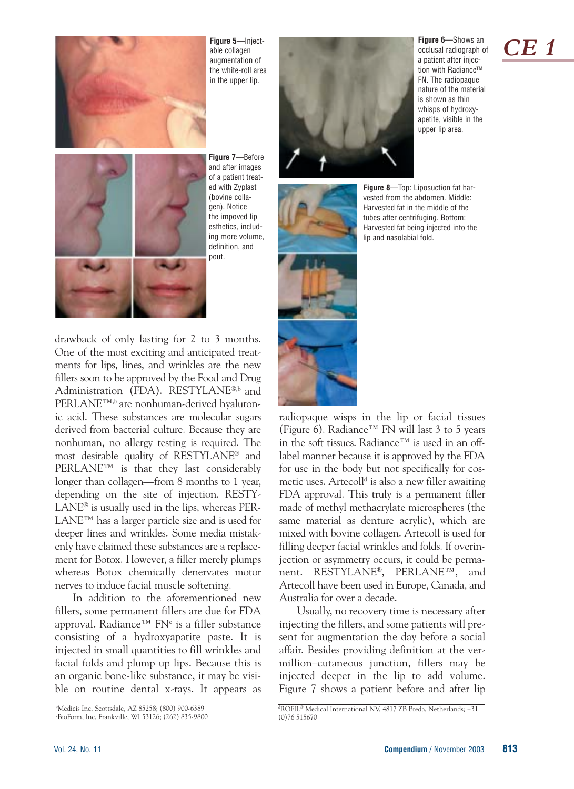

**Figure 5**—Injectable collagen augmentation of the white-roll area in the upper lip.



**Figure 6**—Shows an occlusal radiograph of a patient after injection with Radiance™ FN. The radiopaque nature of the material is shown as thin whisps of hydroxyapetite, visible in the upper lip area.



**Figure 7**—Before and after images of a patient treated with Zyplast (bovine collagen). Notice the impoved lip esthetics, including more volume, definition, and pout.

drawback of only lasting for 2 to 3 months. One of the most exciting and anticipated treatments for lips, lines, and wrinkles are the new fillers soon to be approved by the Food and Drug Administration (FDA). RESTYLANE®,b and PERLANE™,b are nonhuman-derived hyaluronic acid. These substances are molecular sugars derived from bacterial culture. Because they are nonhuman, no allergy testing is required. The most desirable quality of RESTYLANE® and PERLANE™ is that they last considerably longer than collagen—from 8 months to 1 year, depending on the site of injection. RESTY-LANE® is usually used in the lips, whereas PER-LANE™ has a larger particle size and is used for deeper lines and wrinkles. Some media mistakenly have claimed these substances are a replacement for Botox. However, a filler merely plumps whereas Botox chemically denervates motor nerves to induce facial muscle softening.

In addition to the aforementioned new fillers, some permanent fillers are due for FDA approval. Radiance™ FN<sup>c</sup> is a filler substance consisting of a hydroxyapatite paste. It is injected in small quantities to fill wrinkles and facial folds and plump up lips. Because this is an organic bone-like substance, it may be visible on routine dental x-rays. It appears as



**Figure 8**—Top: Liposuction fat harvested from the abdomen. Middle: Harvested fat in the middle of the tubes after centrifuging. Bottom: Harvested fat being injected into the lip and nasolabial fold.

radiopaque wisps in the lip or facial tissues (Figure 6). Radiance<sup>™</sup> FN will last 3 to 5 years in the soft tissues. Radiance™ is used in an offlabel manner because it is approved by the FDA for use in the body but not specifically for cosmetic uses. Artecoll<sup>d</sup> is also a new filler awaiting FDA approval. This truly is a permanent filler made of methyl methacrylate microspheres (the same material as denture acrylic), which are mixed with bovine collagen. Artecoll is used for filling deeper facial wrinkles and folds. If overinjection or asymmetry occurs, it could be permanent. RESTYLANE®, PERLANE™, and Artecoll have been used in Europe, Canada, and Australia for over a decade.

Usually, no recovery time is necessary after injecting the fillers, and some patients will present for augmentation the day before a social affair. Besides providing definition at the vermillion–cutaneous junction, fillers may be injected deeper in the lip to add volume. Figure 7 shows a patient before and after lip

## *CE 1*

b Medicis Inc, Scottsdale, AZ 85258; (800) 900-6389 c BioForm, Inc, Frankville, WI 53126; (262) 835-9800

d ROFIL® Medical International NV, 4817 ZB Breda, Netherlands; +31 (0)76 515670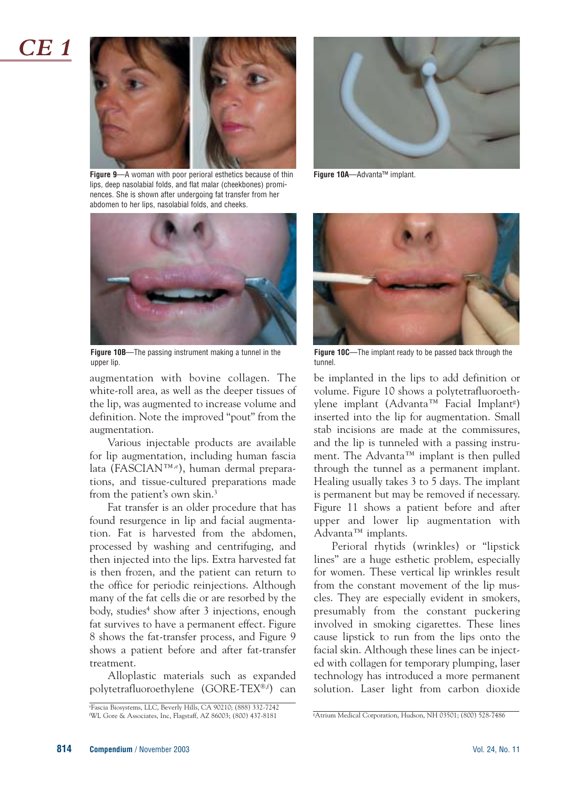

**Figure 9**—A woman with poor perioral esthetics because of thin lips, deep nasolabial folds, and flat malar (cheekbones) prominences. She is shown after undergoing fat transfer from her abdomen to her lips, nasolabial folds, and cheeks.



**Figure 10B**—The passing instrument making a tunnel in the upper lip.

augmentation with bovine collagen. The white-roll area, as well as the deeper tissues of the lip, was augmented to increase volume and definition. Note the improved "pout" from the augmentation.

Various injectable products are available for lip augmentation, including human fascia lata (FASCIAN™,e), human dermal preparations, and tissue-cultured preparations made from the patient's own skin.3

Fat transfer is an older procedure that has found resurgence in lip and facial augmentation. Fat is harvested from the abdomen, processed by washing and centrifuging, and then injected into the lips. Extra harvested fat is then frozen, and the patient can return to the office for periodic reinjections. Although many of the fat cells die or are resorbed by the body, studies<sup>4</sup> show after 3 injections, enough fat survives to have a permanent effect. Figure 8 shows the fat-transfer process, and Figure 9 shows a patient before and after fat-transfer treatment.

Alloplastic materials such as expanded polytetrafluoroethylene (GORE-TEX®,f) can



**Figure 10A**—Advanta™ implant.



**Figure 10C**—The implant ready to be passed back through the tunnel.

be implanted in the lips to add definition or volume. Figure 10 shows a polytetrafluoroethylene implant (Advanta™ Facial Implantg ) inserted into the lip for augmentation. Small stab incisions are made at the commissures, and the lip is tunneled with a passing instrument. The Advanta™ implant is then pulled through the tunnel as a permanent implant. Healing usually takes 3 to 5 days. The implant is permanent but may be removed if necessary. Figure 11 shows a patient before and after upper and lower lip augmentation with Advanta™ implants.

Perioral rhytids (wrinkles) or "lipstick lines" are a huge esthetic problem, especially for women. These vertical lip wrinkles result from the constant movement of the lip muscles. They are especially evident in smokers, presumably from the constant puckering involved in smoking cigarettes. These lines cause lipstick to run from the lips onto the facial skin. Although these lines can be injected with collagen for temporary plumping, laser technology has introduced a more permanent solution. Laser light from carbon dioxide

e Fascia Biosystems, LLC, Beverly Hills, CA 90210; (888) 332-7242 f WL Gore & Associates, Inc, Flagstaff, AZ 86003; (800) 437-8181 <sup>g</sup>

Atrium Medical Corporation, Hudson, NH 03501; (800) 528-7486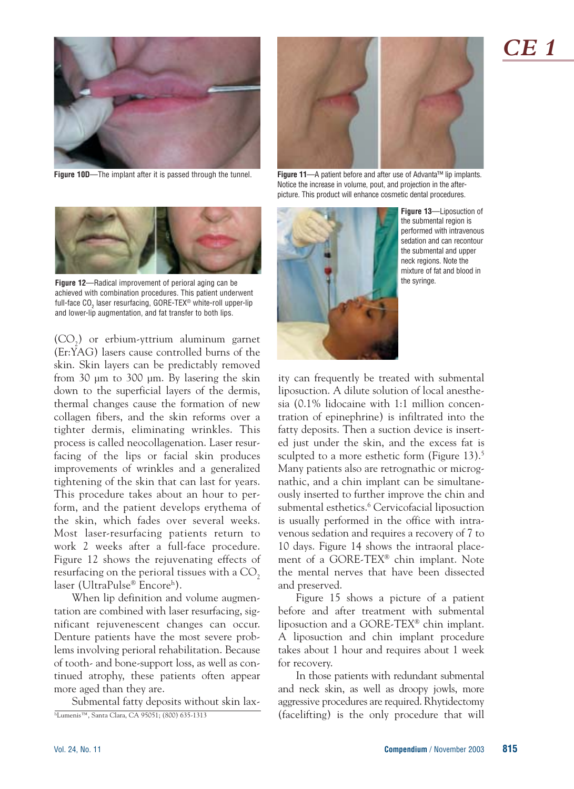

**Figure 10D**—The implant after it is passed through the tunnel. **Figure 11**—A patient before and after use of Advanta™ lip implants.



Notice the increase in volume, pout, and projection in the afterpicture. This product will enhance cosmetic dental procedures.



**Figure 12**—Radical improvement of perioral aging can be achieved with combination procedures. This patient underwent full-face CO<sub>2</sub> laser resurfacing, GORE-TEX<sup>®</sup> white-roll upper-lip and lower-lip augmentation, and fat transfer to both lips.

 $(CO_2)$  or erbium-yttrium aluminum garnet (Er:YAG) lasers cause controlled burns of the skin. Skin layers can be predictably removed from 30 µm to 300 µm. By lasering the skin down to the superficial layers of the dermis, thermal changes cause the formation of new collagen fibers, and the skin reforms over a tighter dermis, eliminating wrinkles. This process is called neocollagenation. Laser resurfacing of the lips or facial skin produces improvements of wrinkles and a generalized tightening of the skin that can last for years. This procedure takes about an hour to perform, and the patient develops erythema of the skin, which fades over several weeks. Most laser-resurfacing patients return to work 2 weeks after a full-face procedure. Figure 12 shows the rejuvenating effects of resurfacing on the perioral tissues with a CO<sub>2</sub> laser (UltraPulse® Encoreh).

When lip definition and volume augmentation are combined with laser resurfacing, significant rejuvenescent changes can occur. Denture patients have the most severe problems involving perioral rehabilitation. Because of tooth- and bone-support loss, as well as continued atrophy, these patients often appear more aged than they are.

Submental fatty deposits without skin laxhLumenis™, Santa Clara, CA 95051; (800) 635-1313



**Figure 13**—Liposuction of the submental region is performed with intravenous sedation and can recontour the submental and upper neck regions. Note the mixture of fat and blood in the syringe.

ity can frequently be treated with submental liposuction. A dilute solution of local anesthesia (0.1% lidocaine with 1:1 million concentration of epinephrine) is infiltrated into the fatty deposits. Then a suction device is inserted just under the skin, and the excess fat is sculpted to a more esthetic form (Figure 13).<sup>5</sup> Many patients also are retrognathic or micrognathic, and a chin implant can be simultaneously inserted to further improve the chin and submental esthetics.<sup>6</sup> Cervicofacial liposuction is usually performed in the office with intravenous sedation and requires a recovery of 7 to 10 days. Figure 14 shows the intraoral placement of a GORE-TEX® chin implant. Note the mental nerves that have been dissected and preserved.

Figure 15 shows a picture of a patient before and after treatment with submental liposuction and a GORE-TEX® chin implant. A liposuction and chin implant procedure takes about 1 hour and requires about 1 week for recovery.

In those patients with redundant submental and neck skin, as well as droopy jowls, more aggressive procedures are required. Rhytidectomy (facelifting) is the only procedure that will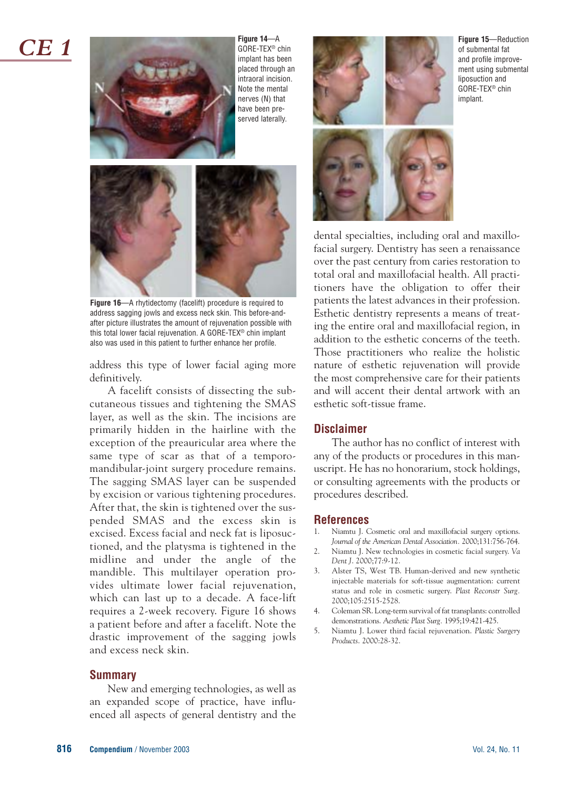*CE 1*



**Figure 14**—A GORE-TEX® chin implant has been placed through an intraoral incision. Note the mental nerves (N) that have been preserved laterally.



**Figure 16**—A rhytidectomy (facelift) procedure is required to address sagging jowls and excess neck skin. This before-andafter picture illustrates the amount of rejuvenation possible with this total lower facial rejuvenation. A GORE-TEX® chin implant also was used in this patient to further enhance her profile.

address this type of lower facial aging more definitively.

A facelift consists of dissecting the subcutaneous tissues and tightening the SMAS layer, as well as the skin. The incisions are primarily hidden in the hairline with the exception of the preauricular area where the same type of scar as that of a temporomandibular-joint surgery procedure remains. The sagging SMAS layer can be suspended by excision or various tightening procedures. After that, the skin is tightened over the suspended SMAS and the excess skin is excised. Excess facial and neck fat is liposuctioned, and the platysma is tightened in the midline and under the angle of the mandible. This multilayer operation provides ultimate lower facial rejuvenation, which can last up to a decade. A face-lift requires a 2-week recovery. Figure 16 shows a patient before and after a facelift. Note the drastic improvement of the sagging jowls and excess neck skin.

#### **Summary**

New and emerging technologies, as well as an expanded scope of practice, have influenced all aspects of general dentistry and the



**Figure 15**—Reduction of submental fat and profile improvement using submental liposuction and GORE-TEX® chin implant.



dental specialties, including oral and maxillofacial surgery. Dentistry has seen a renaissance over the past century from caries restoration to total oral and maxillofacial health. All practitioners have the obligation to offer their patients the latest advances in their profession. Esthetic dentistry represents a means of treating the entire oral and maxillofacial region, in addition to the esthetic concerns of the teeth. Those practitioners who realize the holistic nature of esthetic rejuvenation will provide the most comprehensive care for their patients and will accent their dental artwork with an esthetic soft-tissue frame.

#### **Disclaimer**

The author has no conflict of interest with any of the products or procedures in this manuscript. He has no honorarium, stock holdings, or consulting agreements with the products or procedures described.

#### **References**

- Niamtu J. Cosmetic oral and maxillofacial surgery options. *Journal of the American Dental Association.* 2000;131:756-764.
- 2. Niamtu J. New technologies in cosmetic facial surgery. *Va Dent J*. 2000;77:9-12.
- 3. Alster TS, West TB. Human-derived and new synthetic injectable materials for soft-tissue augmentation: current status and role in cosmetic surgery. *Plast Reconstr Surg.* 2000;105:2515-2528.
- 4. Coleman SR. Long-term survival of fat transplants: controlled demonstrations. *Aesthetic Plast Surg.* 1995;19:421-425.
- 5. Niamtu J. Lower third facial rejuvenation. *Plastic Surgery Products*. 2000:28-32.